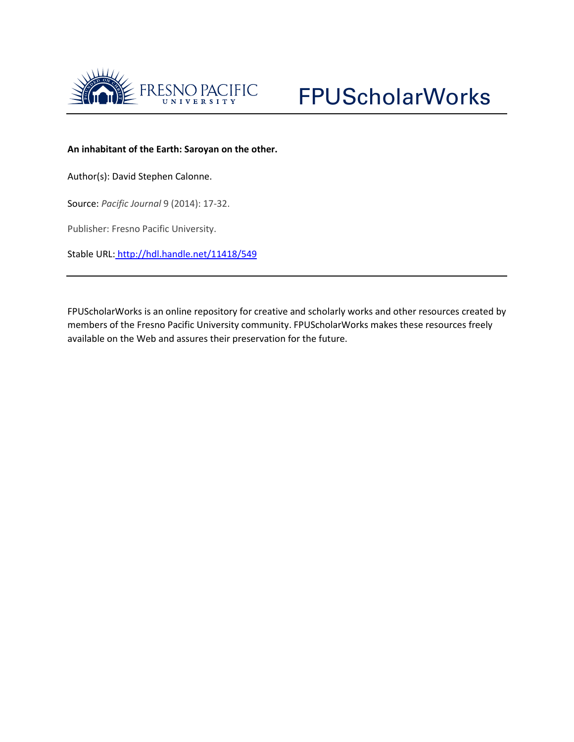



## **An inhabitant of the Earth: Saroyan on the other.**

Author(s): David Stephen Calonne.

Source: *Pacific Journal* 9 (2014): 17-32.

Publisher: Fresno Pacific University.

Stable URL: <http://hdl.handle.net/11418/549>

FPUScholarWorks is an online repository for creative and scholarly works and other resources created by members of the Fresno Pacific University community. FPUScholarWorks makes these resources freely available on the Web and assures their preservation for the future.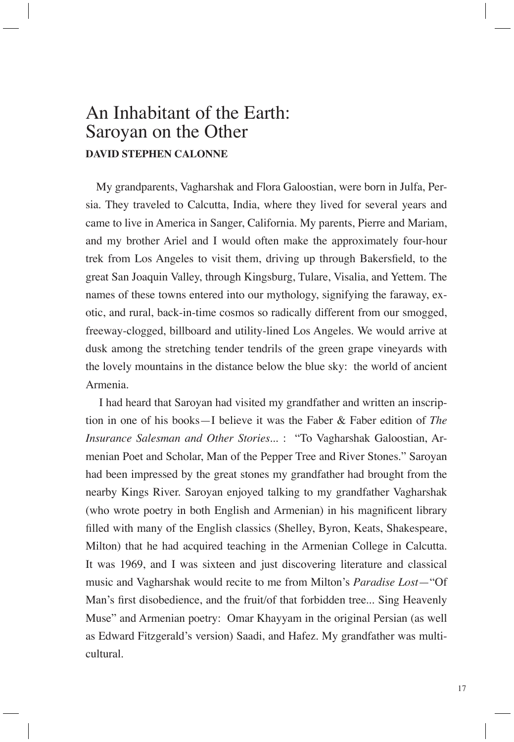## An Inhabitant of the Earth: Saroyan on the Other **DAVID STEPHEN CALONNE**

My grandparents, Vagharshak and Flora Galoostian, were born in Julfa, Persia. They traveled to Calcutta, India, where they lived for several years and came to live in America in Sanger, California. My parents, Pierre and Mariam, and my brother Ariel and I would often make the approximately four-hour trek from Los Angeles to visit them, driving up through Bakersfield, to the great San Joaquin Valley, through Kingsburg, Tulare, Visalia, and Yettem. The names of these towns entered into our mythology, signifying the faraway, exotic, and rural, back-in-time cosmos so radically different from our smogged, freeway-clogged, billboard and utility-lined Los Angeles. We would arrive at dusk among the stretching tender tendrils of the green grape vineyards with the lovely mountains in the distance below the blue sky: the world of ancient Armenia.

 I had heard that Saroyan had visited my grandfather and written an inscription in one of his books—I believe it was the Faber & Faber edition of *The Insurance Salesman and Other Stories*... : "To Vagharshak Galoostian, Armenian Poet and Scholar, Man of the Pepper Tree and River Stones." Saroyan had been impressed by the great stones my grandfather had brought from the nearby Kings River. Saroyan enjoyed talking to my grandfather Vagharshak (who wrote poetry in both English and Armenian) in his magnificent library filled with many of the English classics (Shelley, Byron, Keats, Shakespeare, Milton) that he had acquired teaching in the Armenian College in Calcutta. It was 1969, and I was sixteen and just discovering literature and classical music and Vagharshak would recite to me from Milton's *Paradise Lost*—"Of Man's first disobedience, and the fruit/of that forbidden tree... Sing Heavenly Muse" and Armenian poetry: Omar Khayyam in the original Persian (as well as Edward Fitzgerald's version) Saadi, and Hafez. My grandfather was multicultural.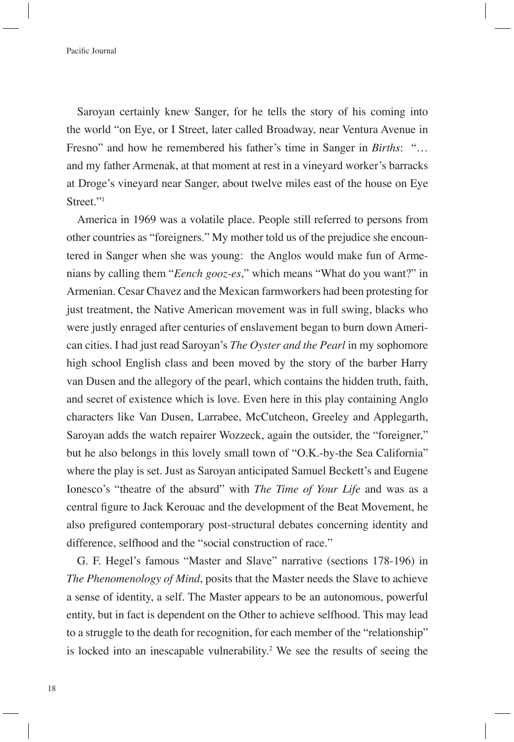Saroyan certainly knew Sanger, for he tells the story of his coming into the world "on Eye, or I Street, later called Broadway, near Ventura Avenue in Fresno" and how he remembered his father's time in Sanger in *Births*: "… and my father Armenak, at that moment at rest in a vineyard worker's barracks at Droge's vineyard near Sanger, about twelve miles east of the house on Eye Street."<sup>1</sup>

America in 1969 was a volatile place. People still referred to persons from other countries as "foreigners." My mother told us of the prejudice she encountered in Sanger when she was young: the Anglos would make fun of Armenians by calling them "*Eench gooz-es*," which means "What do you want?" in Armenian. Cesar Chavez and the Mexican farmworkers had been protesting for just treatment, the Native American movement was in full swing, blacks who were justly enraged after centuries of enslavement began to burn down American cities. I had just read Saroyan's *The Oyster and the Pearl* in my sophomore high school English class and been moved by the story of the barber Harry van Dusen and the allegory of the pearl, which contains the hidden truth, faith, and secret of existence which is love. Even here in this play containing Anglo characters like Van Dusen, Larrabee, McCutcheon, Greeley and Applegarth, Saroyan adds the watch repairer Wozzeck, again the outsider, the "foreigner," but he also belongs in this lovely small town of "O.K.-by-the Sea California" where the play is set. Just as Saroyan anticipated Samuel Beckett's and Eugene Ionesco's "theatre of the absurd" with *The Time of Your Life* and was as a central figure to Jack Kerouac and the development of the Beat Movement, he also prefigured contemporary post-structural debates concerning identity and difference, selfhood and the "social construction of race."

G. F. Hegel's famous "Master and Slave" narrative (sections 178-196) in *The Phenomenology of Mind*, posits that the Master needs the Slave to achieve a sense of identity, a self. The Master appears to be an autonomous, powerful entity, but in fact is dependent on the Other to achieve selfhood. This may lead to a struggle to the death for recognition, for each member of the "relationship" is locked into an inescapable vulnerability.2 We see the results of seeing the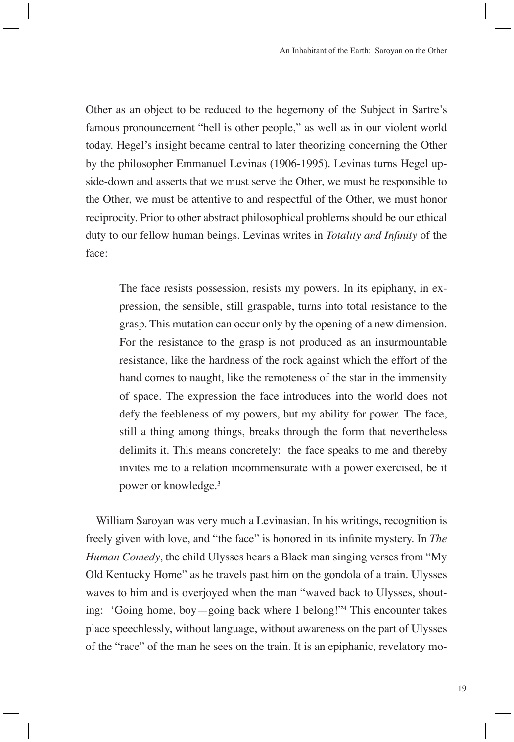Other as an object to be reduced to the hegemony of the Subject in Sartre's famous pronouncement "hell is other people," as well as in our violent world today. Hegel's insight became central to later theorizing concerning the Other by the philosopher Emmanuel Levinas (1906-1995). Levinas turns Hegel upside-down and asserts that we must serve the Other, we must be responsible to the Other, we must be attentive to and respectful of the Other, we must honor reciprocity. Prior to other abstract philosophical problems should be our ethical duty to our fellow human beings. Levinas writes in *Totality and Infinity* of the face:

The face resists possession, resists my powers. In its epiphany, in expression, the sensible, still graspable, turns into total resistance to the grasp. This mutation can occur only by the opening of a new dimension. For the resistance to the grasp is not produced as an insurmountable resistance, like the hardness of the rock against which the effort of the hand comes to naught, like the remoteness of the star in the immensity of space. The expression the face introduces into the world does not defy the feebleness of my powers, but my ability for power. The face, still a thing among things, breaks through the form that nevertheless delimits it. This means concretely: the face speaks to me and thereby invites me to a relation incommensurate with a power exercised, be it power or knowledge.3

William Saroyan was very much a Levinasian. In his writings, recognition is freely given with love, and "the face" is honored in its infinite mystery. In *The Human Comedy*, the child Ulysses hears a Black man singing verses from "My Old Kentucky Home" as he travels past him on the gondola of a train. Ulysses waves to him and is overjoyed when the man "waved back to Ulysses, shouting: 'Going home, boy—going back where I belong!"4 This encounter takes place speechlessly, without language, without awareness on the part of Ulysses of the "race" of the man he sees on the train. It is an epiphanic, revelatory mo-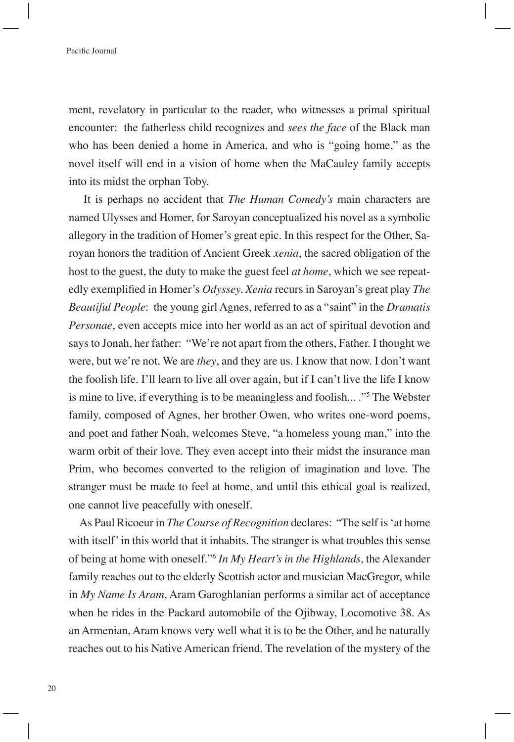ment, revelatory in particular to the reader, who witnesses a primal spiritual encounter: the fatherless child recognizes and *sees the face* of the Black man who has been denied a home in America, and who is "going home," as the novel itself will end in a vision of home when the MaCauley family accepts into its midst the orphan Toby.

 It is perhaps no accident that *The Human Comedy's* main characters are named Ulysses and Homer, for Saroyan conceptualized his novel as a symbolic allegory in the tradition of Homer's great epic. In this respect for the Other, Saroyan honors the tradition of Ancient Greek *xenia*, the sacred obligation of the host to the guest, the duty to make the guest feel *at home*, which we see repeatedly exemplified in Homer's *Odyssey. Xenia* recurs in Saroyan's great play *The Beautiful People*: the young girl Agnes, referred to as a "saint" in the *Dramatis Personae*, even accepts mice into her world as an act of spiritual devotion and says to Jonah, her father: "We're not apart from the others, Father. I thought we were, but we're not. We are *they*, and they are us. I know that now. I don't want the foolish life. I'll learn to live all over again, but if I can't live the life I know is mine to live, if everything is to be meaningless and foolish... ."5 The Webster family, composed of Agnes, her brother Owen, who writes one-word poems, and poet and father Noah, welcomes Steve, "a homeless young man," into the warm orbit of their love. They even accept into their midst the insurance man Prim, who becomes converted to the religion of imagination and love. The stranger must be made to feel at home, and until this ethical goal is realized, one cannot live peacefully with oneself.

As Paul Ricoeur in *The Course of Recognition* declares: "The self is 'at home with itself' in this world that it inhabits. The stranger is what troubles this sense of being at home with oneself."6  *In My Heart's in the Highlands*, the Alexander family reaches out to the elderly Scottish actor and musician MacGregor, while in *My Name Is Aram*, Aram Garoghlanian performs a similar act of acceptance when he rides in the Packard automobile of the Ojibway, Locomotive 38. As an Armenian, Aram knows very well what it is to be the Other, and he naturally reaches out to his Native American friend. The revelation of the mystery of the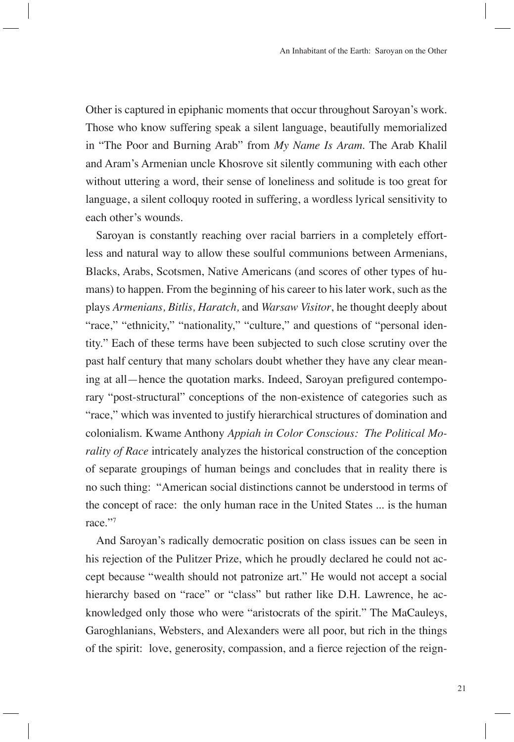Other is captured in epiphanic moments that occur throughout Saroyan's work. Those who know suffering speak a silent language, beautifully memorialized in "The Poor and Burning Arab" from *My Name Is Aram*. The Arab Khalil and Aram's Armenian uncle Khosrove sit silently communing with each other without uttering a word, their sense of loneliness and solitude is too great for language, a silent colloquy rooted in suffering, a wordless lyrical sensitivity to each other's wounds.

Saroyan is constantly reaching over racial barriers in a completely effortless and natural way to allow these soulful communions between Armenians, Blacks, Arabs, Scotsmen, Native Americans (and scores of other types of humans) to happen. From the beginning of his career to his later work, such as the plays *Armenians, Bitlis, Haratch,* and *Warsaw Visitor*, he thought deeply about "race," "ethnicity," "nationality," "culture," and questions of "personal identity." Each of these terms have been subjected to such close scrutiny over the past half century that many scholars doubt whether they have any clear meaning at all—hence the quotation marks. Indeed, Saroyan prefigured contemporary "post-structural" conceptions of the non-existence of categories such as "race," which was invented to justify hierarchical structures of domination and colonialism. Kwame Anthony *Appiah in Color Conscious: The Political Morality of Race* intricately analyzes the historical construction of the conception of separate groupings of human beings and concludes that in reality there is no such thing: "American social distinctions cannot be understood in terms of the concept of race: the only human race in the United States ... is the human race."7

And Saroyan's radically democratic position on class issues can be seen in his rejection of the Pulitzer Prize, which he proudly declared he could not accept because "wealth should not patronize art." He would not accept a social hierarchy based on "race" or "class" but rather like D.H. Lawrence, he acknowledged only those who were "aristocrats of the spirit." The MaCauleys, Garoghlanians, Websters, and Alexanders were all poor, but rich in the things of the spirit: love, generosity, compassion, and a fierce rejection of the reign-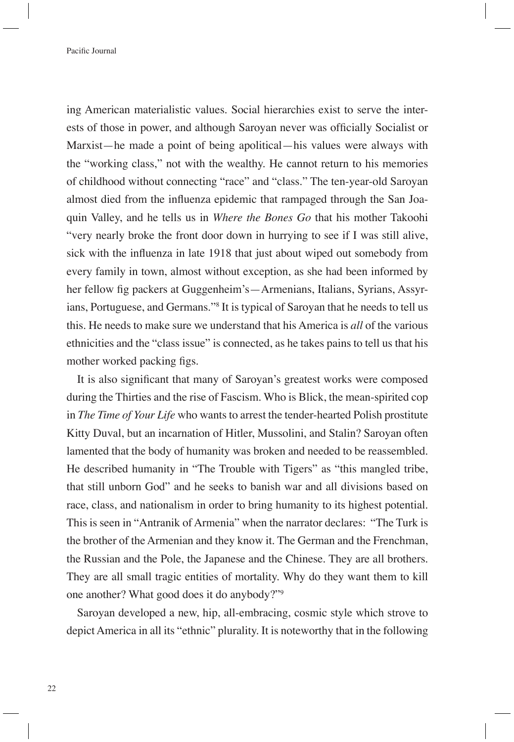ing American materialistic values. Social hierarchies exist to serve the interests of those in power, and although Saroyan never was officially Socialist or Marxist—he made a point of being apolitical—his values were always with the "working class," not with the wealthy. He cannot return to his memories of childhood without connecting "race" and "class." The ten-year-old Saroyan almost died from the influenza epidemic that rampaged through the San Joaquin Valley, and he tells us in *Where the Bones Go* that his mother Takoohi "very nearly broke the front door down in hurrying to see if I was still alive, sick with the influenza in late 1918 that just about wiped out somebody from every family in town, almost without exception, as she had been informed by her fellow fig packers at Guggenheim's—Armenians, Italians, Syrians, Assyrians, Portuguese, and Germans."8 It is typical of Saroyan that he needs to tell us this. He needs to make sure we understand that his America is *all* of the various ethnicities and the "class issue" is connected, as he takes pains to tell us that his mother worked packing figs.

It is also significant that many of Saroyan's greatest works were composed during the Thirties and the rise of Fascism. Who is Blick, the mean-spirited cop in *The Time of Your Life* who wants to arrest the tender-hearted Polish prostitute Kitty Duval, but an incarnation of Hitler, Mussolini, and Stalin? Saroyan often lamented that the body of humanity was broken and needed to be reassembled. He described humanity in "The Trouble with Tigers" as "this mangled tribe, that still unborn God" and he seeks to banish war and all divisions based on race, class, and nationalism in order to bring humanity to its highest potential. This is seen in "Antranik of Armenia" when the narrator declares: "The Turk is the brother of the Armenian and they know it. The German and the Frenchman, the Russian and the Pole, the Japanese and the Chinese. They are all brothers. They are all small tragic entities of mortality. Why do they want them to kill one another? What good does it do anybody?"9

Saroyan developed a new, hip, all-embracing, cosmic style which strove to depict America in all its "ethnic" plurality. It is noteworthy that in the following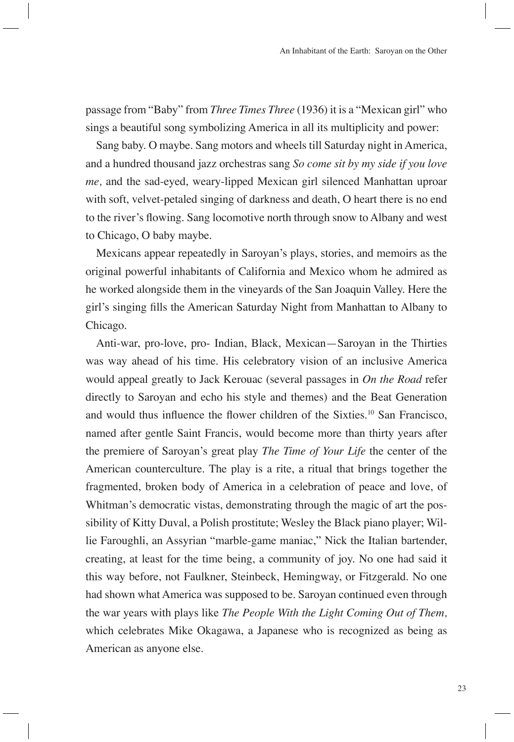passage from "Baby" from *Three Times Three* (1936) it is a "Mexican girl" who sings a beautiful song symbolizing America in all its multiplicity and power:

Sang baby. O maybe. Sang motors and wheels till Saturday night in America, and a hundred thousand jazz orchestras sang *So come sit by my side if you love me,* and the sad-eyed, weary-lipped Mexican girl silenced Manhattan uproar with soft, velvet-petaled singing of darkness and death, O heart there is no end to the river's flowing. Sang locomotive north through snow to Albany and west to Chicago, O baby maybe.

Mexicans appear repeatedly in Saroyan's plays, stories, and memoirs as the original powerful inhabitants of California and Mexico whom he admired as he worked alongside them in the vineyards of the San Joaquin Valley. Here the girl's singing fills the American Saturday Night from Manhattan to Albany to Chicago.

Anti-war, pro-love, pro- Indian, Black, Mexican—Saroyan in the Thirties was way ahead of his time. His celebratory vision of an inclusive America would appeal greatly to Jack Kerouac (several passages in *On the Road* refer directly to Saroyan and echo his style and themes) and the Beat Generation and would thus influence the flower children of the Sixties.<sup>10</sup> San Francisco, named after gentle Saint Francis, would become more than thirty years after the premiere of Saroyan's great play *The Time of Your Life* the center of the American counterculture. The play is a rite, a ritual that brings together the fragmented, broken body of America in a celebration of peace and love, of Whitman's democratic vistas, demonstrating through the magic of art the possibility of Kitty Duval, a Polish prostitute; Wesley the Black piano player; Willie Faroughli, an Assyrian "marble-game maniac," Nick the Italian bartender, creating, at least for the time being, a community of joy. No one had said it this way before, not Faulkner, Steinbeck, Hemingway, or Fitzgerald. No one had shown what America was supposed to be. Saroyan continued even through the war years with plays like *The People With the Light Coming Out of Them,*  which celebrates Mike Okagawa, a Japanese who is recognized as being as American as anyone else.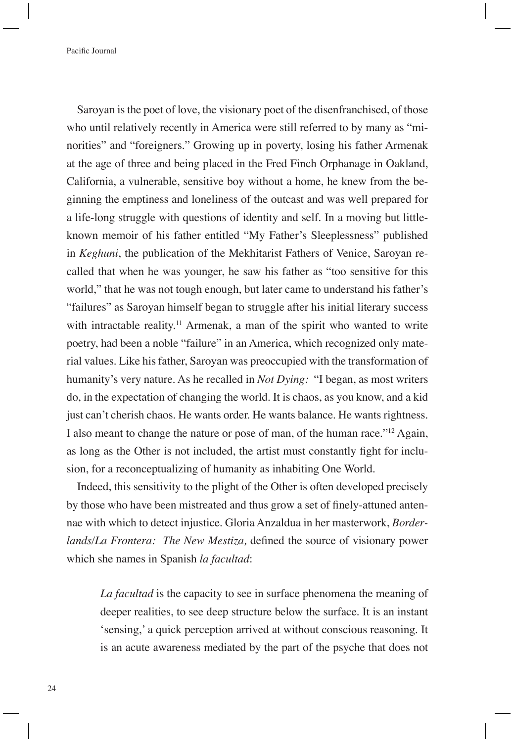Saroyan is the poet of love, the visionary poet of the disenfranchised, of those who until relatively recently in America were still referred to by many as "minorities" and "foreigners." Growing up in poverty, losing his father Armenak at the age of three and being placed in the Fred Finch Orphanage in Oakland, California, a vulnerable, sensitive boy without a home, he knew from the beginning the emptiness and loneliness of the outcast and was well prepared for a life-long struggle with questions of identity and self. In a moving but littleknown memoir of his father entitled "My Father's Sleeplessness" published in *Keghuni*, the publication of the Mekhitarist Fathers of Venice, Saroyan recalled that when he was younger, he saw his father as "too sensitive for this world," that he was not tough enough, but later came to understand his father's "failures" as Saroyan himself began to struggle after his initial literary success with intractable reality.<sup>11</sup> Armenak, a man of the spirit who wanted to write poetry, had been a noble "failure" in an America, which recognized only material values. Like his father, Saroyan was preoccupied with the transformation of humanity's very nature. As he recalled in *Not Dying:* "I began, as most writers do, in the expectation of changing the world. It is chaos, as you know, and a kid just can't cherish chaos. He wants order. He wants balance. He wants rightness. I also meant to change the nature or pose of man, of the human race."12 Again, as long as the Other is not included, the artist must constantly fight for inclusion, for a reconceptualizing of humanity as inhabiting One World.

Indeed, this sensitivity to the plight of the Other is often developed precisely by those who have been mistreated and thus grow a set of finely-attuned antennae with which to detect injustice. Gloria Anzaldua in her masterwork, *Borderlands/La Frontera: The New Mestiza, defined the source of visionary power* which she names in Spanish *la facultad*:

*La facultad* is the capacity to see in surface phenomena the meaning of deeper realities, to see deep structure below the surface. It is an instant 'sensing,' a quick perception arrived at without conscious reasoning. It is an acute awareness mediated by the part of the psyche that does not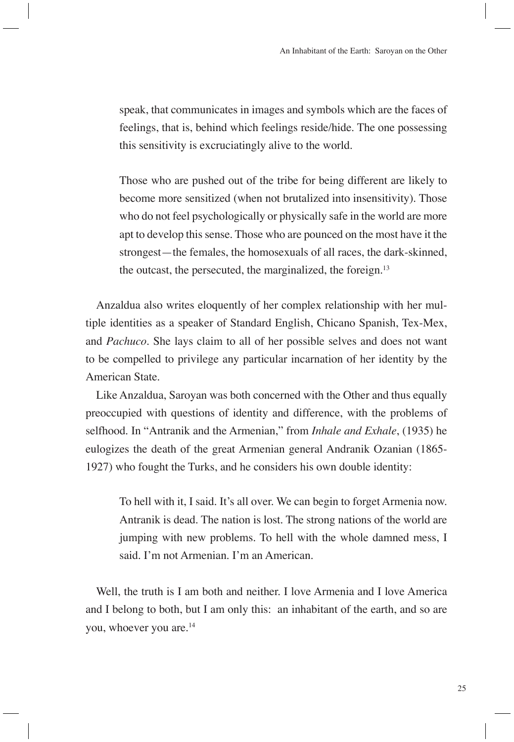speak, that communicates in images and symbols which are the faces of feelings, that is, behind which feelings reside/hide. The one possessing this sensitivity is excruciatingly alive to the world.

Those who are pushed out of the tribe for being different are likely to become more sensitized (when not brutalized into insensitivity). Those who do not feel psychologically or physically safe in the world are more apt to develop this sense. Those who are pounced on the most have it the strongest—the females, the homosexuals of all races, the dark-skinned, the outcast, the persecuted, the marginalized, the foreign.13

Anzaldua also writes eloquently of her complex relationship with her multiple identities as a speaker of Standard English, Chicano Spanish, Tex-Mex, and *Pachuco*. She lays claim to all of her possible selves and does not want to be compelled to privilege any particular incarnation of her identity by the American State.

Like Anzaldua, Saroyan was both concerned with the Other and thus equally preoccupied with questions of identity and difference, with the problems of selfhood. In "Antranik and the Armenian," from *Inhale and Exhale*, (1935) he eulogizes the death of the great Armenian general Andranik Ozanian (1865- 1927) who fought the Turks, and he considers his own double identity:

To hell with it, I said. It's all over. We can begin to forget Armenia now. Antranik is dead. The nation is lost. The strong nations of the world are jumping with new problems. To hell with the whole damned mess, I said. I'm not Armenian. I'm an American.

Well, the truth is I am both and neither. I love Armenia and I love America and I belong to both, but I am only this: an inhabitant of the earth, and so are you, whoever you are.<sup>14</sup>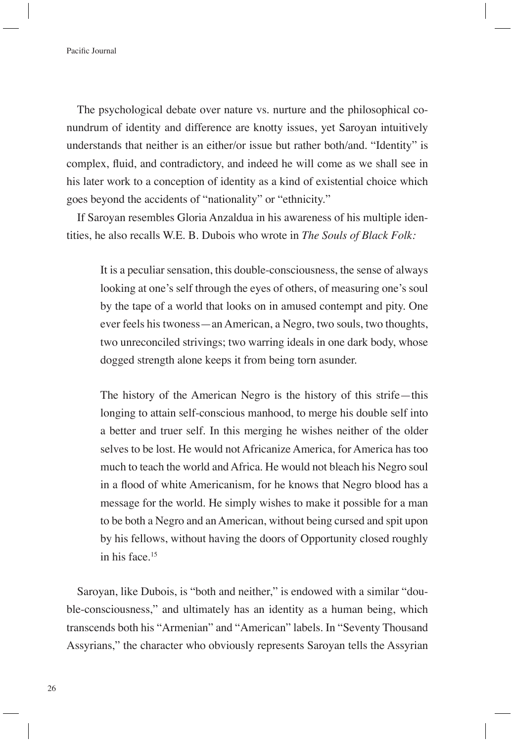The psychological debate over nature vs. nurture and the philosophical conundrum of identity and difference are knotty issues, yet Saroyan intuitively understands that neither is an either/or issue but rather both/and. "Identity" is complex, fluid, and contradictory, and indeed he will come as we shall see in his later work to a conception of identity as a kind of existential choice which goes beyond the accidents of "nationality" or "ethnicity."

If Saroyan resembles Gloria Anzaldua in his awareness of his multiple identities, he also recalls W.E. B. Dubois who wrote in *The Souls of Black Folk:*

It is a peculiar sensation, this double-consciousness, the sense of always looking at one's self through the eyes of others, of measuring one's soul by the tape of a world that looks on in amused contempt and pity. One ever feels his twoness—an American, a Negro, two souls, two thoughts, two unreconciled strivings; two warring ideals in one dark body, whose dogged strength alone keeps it from being torn asunder.

The history of the American Negro is the history of this strife—this longing to attain self-conscious manhood, to merge his double self into a better and truer self. In this merging he wishes neither of the older selves to be lost. He would not Africanize America, for America has too much to teach the world and Africa. He would not bleach his Negro soul in a flood of white Americanism, for he knows that Negro blood has a message for the world. He simply wishes to make it possible for a man to be both a Negro and an American, without being cursed and spit upon by his fellows, without having the doors of Opportunity closed roughly in his face.15

Saroyan, like Dubois, is "both and neither," is endowed with a similar "double-consciousness," and ultimately has an identity as a human being, which transcends both his "Armenian" and "American" labels. In "Seventy Thousand Assyrians," the character who obviously represents Saroyan tells the Assyrian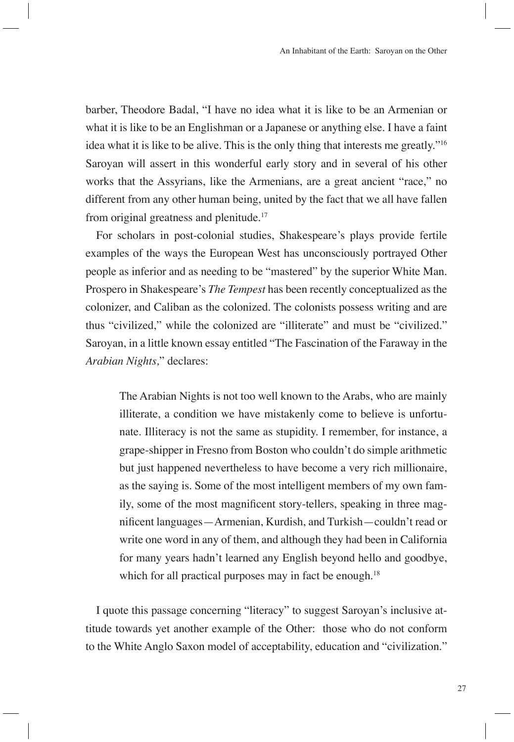barber, Theodore Badal, "I have no idea what it is like to be an Armenian or what it is like to be an Englishman or a Japanese or anything else. I have a faint idea what it is like to be alive. This is the only thing that interests me greatly."16 Saroyan will assert in this wonderful early story and in several of his other works that the Assyrians, like the Armenians, are a great ancient "race," no different from any other human being, united by the fact that we all have fallen from original greatness and plenitude.<sup>17</sup>

For scholars in post-colonial studies, Shakespeare's plays provide fertile examples of the ways the European West has unconsciously portrayed Other people as inferior and as needing to be "mastered" by the superior White Man. Prospero in Shakespeare's *The Tempest* has been recently conceptualized as the colonizer, and Caliban as the colonized. The colonists possess writing and are thus "civilized," while the colonized are "illiterate" and must be "civilized." Saroyan, in a little known essay entitled "The Fascination of the Faraway in the *Arabian Nights,*" declares:

The Arabian Nights is not too well known to the Arabs, who are mainly illiterate, a condition we have mistakenly come to believe is unfortunate. Illiteracy is not the same as stupidity. I remember, for instance, a grape-shipper in Fresno from Boston who couldn't do simple arithmetic but just happened nevertheless to have become a very rich millionaire, as the saying is. Some of the most intelligent members of my own family, some of the most magnificent story-tellers, speaking in three magnificent languages—Armenian, Kurdish, and Turkish—couldn't read or write one word in any of them, and although they had been in California for many years hadn't learned any English beyond hello and goodbye, which for all practical purposes may in fact be enough.<sup>18</sup>

I quote this passage concerning "literacy" to suggest Saroyan's inclusive attitude towards yet another example of the Other: those who do not conform to the White Anglo Saxon model of acceptability, education and "civilization."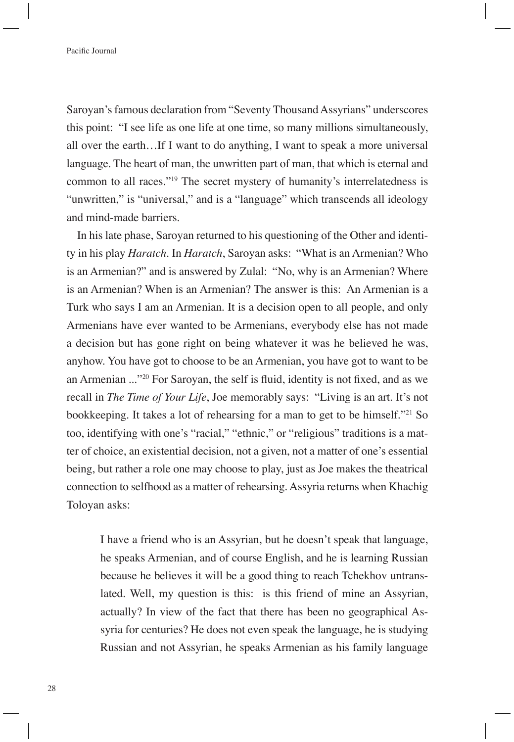Saroyan's famous declaration from "Seventy Thousand Assyrians" underscores this point: "I see life as one life at one time, so many millions simultaneously, all over the earth…If I want to do anything, I want to speak a more universal language. The heart of man, the unwritten part of man, that which is eternal and common to all races."19 The secret mystery of humanity's interrelatedness is "unwritten," is "universal," and is a "language" which transcends all ideology and mind-made barriers.

In his late phase, Saroyan returned to his questioning of the Other and identity in his play *Haratch*. In *Haratch*, Saroyan asks: "What is an Armenian? Who is an Armenian?" and is answered by Zulal: "No, why is an Armenian? Where is an Armenian? When is an Armenian? The answer is this: An Armenian is a Turk who says I am an Armenian. It is a decision open to all people, and only Armenians have ever wanted to be Armenians, everybody else has not made a decision but has gone right on being whatever it was he believed he was, anyhow. You have got to choose to be an Armenian, you have got to want to be an Armenian ..."<sup>20</sup> For Saroyan, the self is fluid, identity is not fixed, and as we recall in *The Time of Your Life*, Joe memorably says: "Living is an art. It's not bookkeeping. It takes a lot of rehearsing for a man to get to be himself."21 So too, identifying with one's "racial," "ethnic," or "religious" traditions is a matter of choice, an existential decision, not a given, not a matter of one's essential being, but rather a role one may choose to play, just as Joe makes the theatrical connection to selfhood as a matter of rehearsing. Assyria returns when Khachig Toloyan asks:

I have a friend who is an Assyrian, but he doesn't speak that language, he speaks Armenian, and of course English, and he is learning Russian because he believes it will be a good thing to reach Tchekhov untranslated. Well, my question is this: is this friend of mine an Assyrian, actually? In view of the fact that there has been no geographical Assyria for centuries? He does not even speak the language, he is studying Russian and not Assyrian, he speaks Armenian as his family language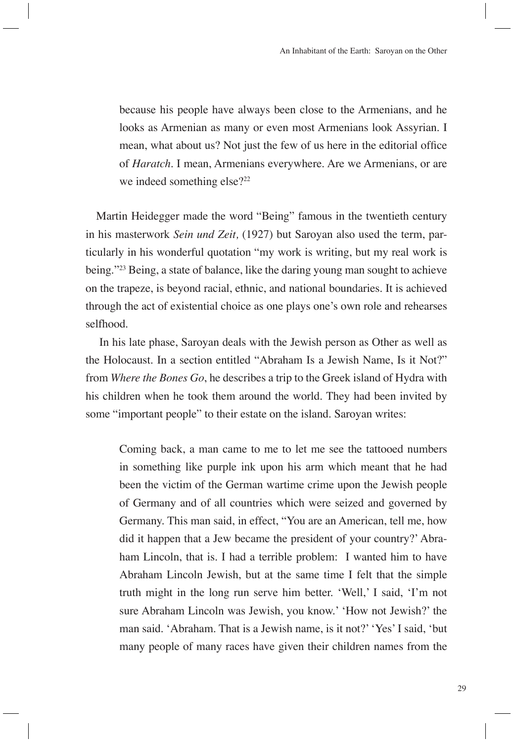because his people have always been close to the Armenians, and he looks as Armenian as many or even most Armenians look Assyrian. I mean, what about us? Not just the few of us here in the editorial office of *Haratch*. I mean, Armenians everywhere. Are we Armenians, or are we indeed something else?<sup>22</sup>

Martin Heidegger made the word "Being" famous in the twentieth century in his masterwork *Sein und Zeit,* (1927) but Saroyan also used the term, particularly in his wonderful quotation "my work is writing, but my real work is being."<sup>23</sup> Being, a state of balance, like the daring young man sought to achieve on the trapeze, is beyond racial, ethnic, and national boundaries. It is achieved through the act of existential choice as one plays one's own role and rehearses selfhood.

 In his late phase, Saroyan deals with the Jewish person as Other as well as the Holocaust. In a section entitled "Abraham Is a Jewish Name, Is it Not?" from *Where the Bones Go*, he describes a trip to the Greek island of Hydra with his children when he took them around the world. They had been invited by some "important people" to their estate on the island. Saroyan writes:

Coming back, a man came to me to let me see the tattooed numbers in something like purple ink upon his arm which meant that he had been the victim of the German wartime crime upon the Jewish people of Germany and of all countries which were seized and governed by Germany. This man said, in effect, "You are an American, tell me, how did it happen that a Jew became the president of your country?' Abraham Lincoln, that is. I had a terrible problem: I wanted him to have Abraham Lincoln Jewish, but at the same time I felt that the simple truth might in the long run serve him better. 'Well,' I said, 'I'm not sure Abraham Lincoln was Jewish, you know.' 'How not Jewish?' the man said. 'Abraham. That is a Jewish name, is it not?' 'Yes' I said, 'but many people of many races have given their children names from the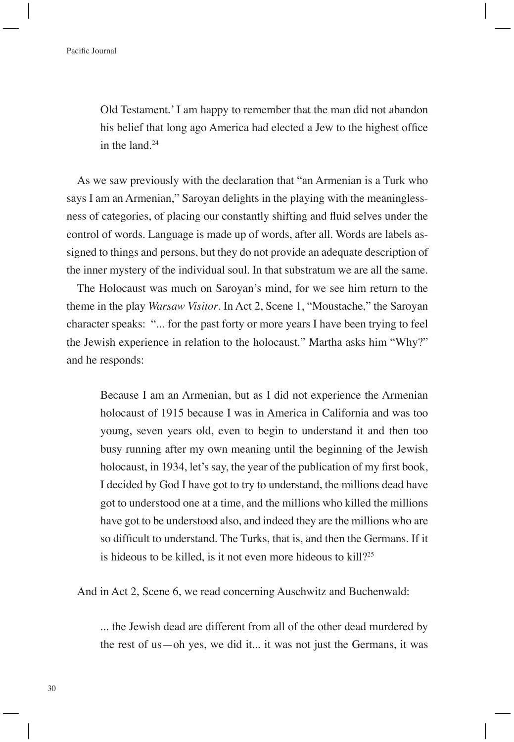Old Testament.' I am happy to remember that the man did not abandon his belief that long ago America had elected a Jew to the highest office in the land.24

As we saw previously with the declaration that "an Armenian is a Turk who says I am an Armenian," Saroyan delights in the playing with the meaninglessness of categories, of placing our constantly shifting and fluid selves under the control of words. Language is made up of words, after all. Words are labels assigned to things and persons, but they do not provide an adequate description of the inner mystery of the individual soul. In that substratum we are all the same.

The Holocaust was much on Saroyan's mind, for we see him return to the theme in the play *Warsaw Visitor*. In Act 2, Scene 1, "Moustache," the Saroyan character speaks: "... for the past forty or more years I have been trying to feel the Jewish experience in relation to the holocaust." Martha asks him "Why?" and he responds:

Because I am an Armenian, but as I did not experience the Armenian holocaust of 1915 because I was in America in California and was too young, seven years old, even to begin to understand it and then too busy running after my own meaning until the beginning of the Jewish holocaust, in 1934, let's say, the year of the publication of my first book, I decided by God I have got to try to understand, the millions dead have got to understood one at a time, and the millions who killed the millions have got to be understood also, and indeed they are the millions who are so difficult to understand. The Turks, that is, and then the Germans. If it is hideous to be killed, is it not even more hideous to kill?<sup>25</sup>

And in Act 2, Scene 6, we read concerning Auschwitz and Buchenwald:

... the Jewish dead are different from all of the other dead murdered by the rest of us—oh yes, we did it... it was not just the Germans, it was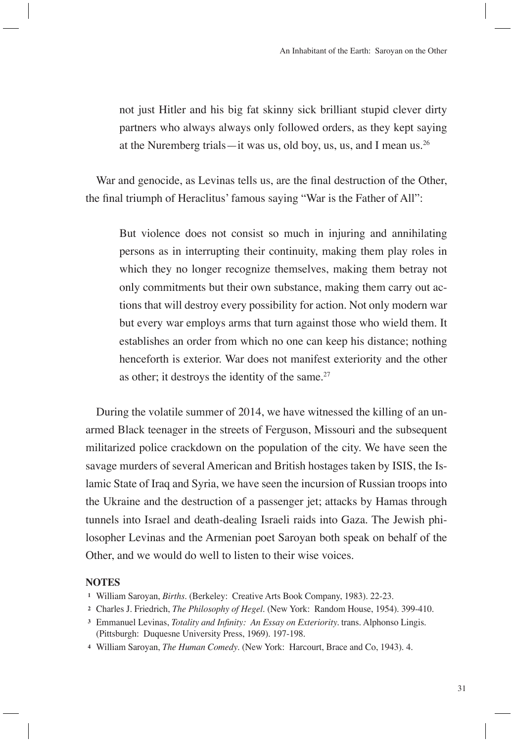not just Hitler and his big fat skinny sick brilliant stupid clever dirty partners who always always only followed orders, as they kept saying at the Nuremberg trials—it was us, old boy, us, us, and I mean us.<sup>26</sup>

War and genocide, as Levinas tells us, are the final destruction of the Other, the final triumph of Heraclitus' famous saying "War is the Father of All":

But violence does not consist so much in injuring and annihilating persons as in interrupting their continuity, making them play roles in which they no longer recognize themselves, making them betray not only commitments but their own substance, making them carry out actions that will destroy every possibility for action. Not only modern war but every war employs arms that turn against those who wield them. It establishes an order from which no one can keep his distance; nothing henceforth is exterior. War does not manifest exteriority and the other as other; it destroys the identity of the same. $27$ 

During the volatile summer of 2014, we have witnessed the killing of an unarmed Black teenager in the streets of Ferguson, Missouri and the subsequent militarized police crackdown on the population of the city. We have seen the savage murders of several American and British hostages taken by ISIS, the Islamic State of Iraq and Syria, we have seen the incursion of Russian troops into the Ukraine and the destruction of a passenger jet; attacks by Hamas through tunnels into Israel and death-dealing Israeli raids into Gaza. The Jewish philosopher Levinas and the Armenian poet Saroyan both speak on behalf of the Other, and we would do well to listen to their wise voices.

## **NOTES**

- **<sup>2</sup>**Charles J. Friedrich, *The Philosophy of Hegel*. (New York: Random House, 1954). 399-410.
- <sup>3</sup> Emmanuel Levinas, *Totality and Infinity: An Essay on Exteriority*. trans. Alphonso Lingis. (Pittsburgh: Duquesne University Press, 1969). 197-198.
- **<sup>4</sup>**William Saroyan, *The Human Comedy*. (New York: Harcourt, Brace and Co, 1943). 4.

**<sup>1</sup>**William Saroyan, *Births*. (Berkeley: Creative Arts Book Company, 1983). 22-23.